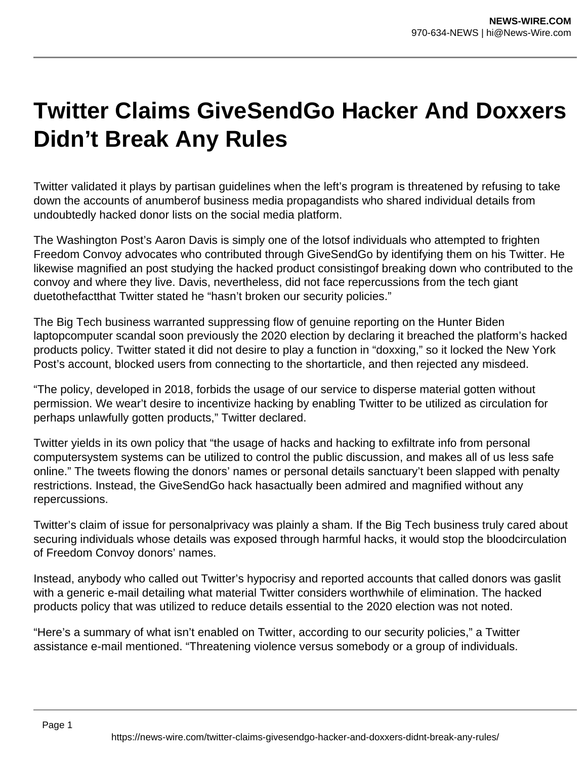## **Twitter Claims GiveSendGo Hacker And Doxxers Didn't Break Any Rules**

Twitter validated it plays by partisan guidelines when the left's program is threatened by refusing to take down the accounts of anumberof business media propagandists who shared individual details from undoubtedly hacked donor lists on the social media platform.

The Washington Post's Aaron Davis is simply one of the lotsof individuals who attempted to frighten Freedom Convoy advocates who contributed through GiveSendGo by identifying them on his Twitter. He likewise magnified an post studying the hacked product consistingof breaking down who contributed to the convoy and where they live. Davis, nevertheless, did not face repercussions from the tech giant duetothefactthat Twitter stated he "hasn't broken our security policies."

The Big Tech business warranted suppressing flow of genuine reporting on the Hunter Biden laptopcomputer scandal soon previously the 2020 election by declaring it breached the platform's hacked products policy. Twitter stated it did not desire to play a function in "doxxing," so it locked the New York Post's account, blocked users from connecting to the shortarticle, and then rejected any misdeed.

"The policy, developed in 2018, forbids the usage of our service to disperse material gotten without permission. We wear't desire to incentivize hacking by enabling Twitter to be utilized as circulation for perhaps unlawfully gotten products," Twitter declared.

Twitter yields in its own policy that "the usage of hacks and hacking to exfiltrate info from personal computersystem systems can be utilized to control the public discussion, and makes all of us less safe online." The tweets flowing the donors' names or personal details sanctuary't been slapped with penalty restrictions. Instead, the GiveSendGo hack hasactually been admired and magnified without any repercussions.

Twitter's claim of issue for personalprivacy was plainly a sham. If the Big Tech business truly cared about securing individuals whose details was exposed through harmful hacks, it would stop the bloodcirculation of Freedom Convoy donors' names.

Instead, anybody who called out Twitter's hypocrisy and reported accounts that called donors was gaslit with a generic e-mail detailing what material Twitter considers worthwhile of elimination. The hacked products policy that was utilized to reduce details essential to the 2020 election was not noted.

"Here's a summary of what isn't enabled on Twitter, according to our security policies," a Twitter assistance e-mail mentioned. "Threatening violence versus somebody or a group of individuals.